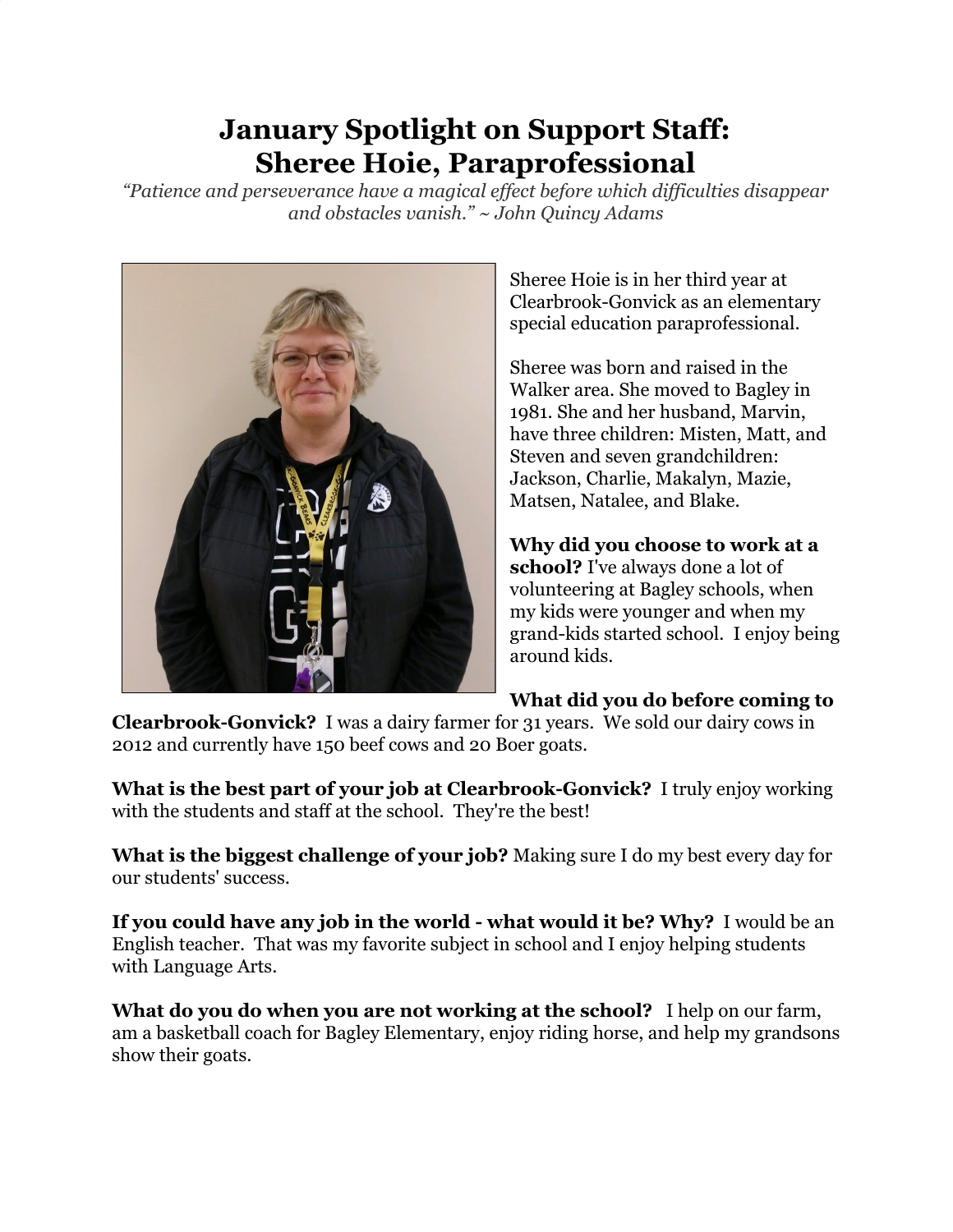## **January Spotlight on Support Staff: Sheree Hoie, Paraprofessional**

*"Patience and perseverance have a magical effect before which difficulties disappear and obstacles vanish." ~ John Quincy Adams*



Sheree Hoie is in her third year at Clearbrook-Gonvick as an elementary special education paraprofessional.

Sheree was born and raised in the Walker area. She moved to Bagley in 1981. She and her husband, Marvin, have three children: Misten, Matt, and Steven and seven grandchildren: Jackson, Charlie, Makalyn, Mazie, Matsen, Natalee, and Blake.

**Why did you choose to work at a school?** I've always done a lot of volunteering at Bagley schools, when my kids were younger and when my grand-kids started school. I enjoy being around kids.

## **What did you do before coming to**

**Clearbrook-Gonvick?** I was a dairy farmer for 31 years. We sold our dairy cows in 2012 and currently have 150 beef cows and 20 Boer goats.

**What is the best part of your job at Clearbrook-Gonvick?** I truly enjoy working with the students and staff at the school. They're the best!

**What is the biggest challenge of your job?** Making sure I do my best every day for our students' success.

**If you could have any job in the world - what would it be? Why?** I would be an English teacher. That was my favorite subject in school and I enjoy helping students with Language Arts.

**What do you do when you are not working at the school?** I help on our farm, am a basketball coach for Bagley Elementary, enjoy riding horse, and help my grandsons show their goats.